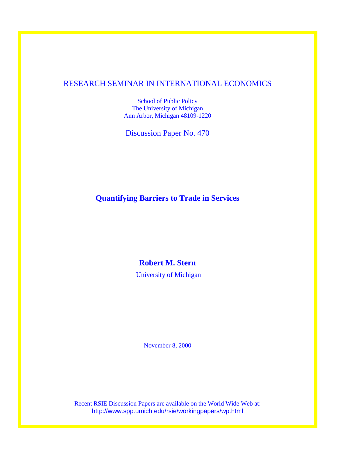# RESEARCH SEMINAR IN INTERNATIONAL ECONOMICS

School of Public Policy The University of Michigan Ann Arbor, Michigan 48109-1220

Discussion Paper No. 470

**Quantifying Barriers to Trade in Services** 

**Robert M. Stern** 

University of Michigan

November 8, 2000

Recent RSIE Discussion Papers are available on the World Wide Web at: http://www.spp.umich.edu/rsie/workingpapers/wp.html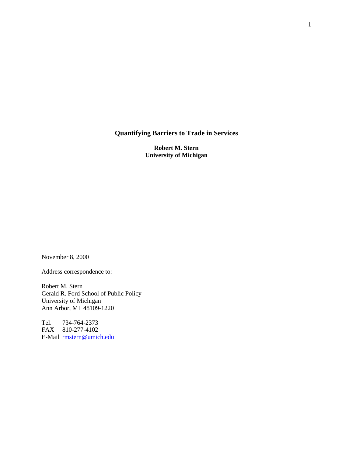**Quantifying Barriers to Trade in Services** 

**Robert M. Stern University of Michigan** 

November 8, 2000

Address correspondence to:

Robert M. Stern Gerald R. Ford School of Public Policy University of Michigan Ann Arbor, MI 48109-1220

Tel. 734-764-2373 FAX 810-277-4102 E-Mail rmstern@umich.edu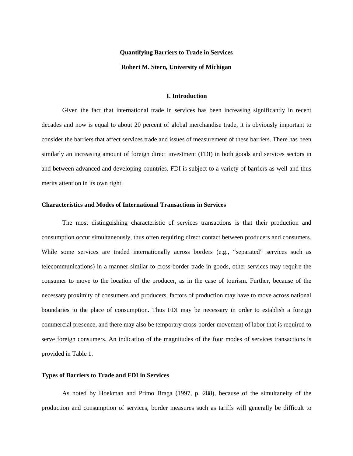# **Quantifying Barriers to Trade in Services Robert M. Stern, University of Michigan**

#### **I. Introduction**

Given the fact that international trade in services has been increasing significantly in recent decades and now is equal to about 20 percent of global merchandise trade, it is obviously important to consider the barriers that affect services trade and issues of measurement of these barriers. There has been similarly an increasing amount of foreign direct investment (FDI) in both goods and services sectors in and between advanced and developing countries. FDI is subject to a variety of barriers as well and thus merits attention in its own right.

#### **Characteristics and Modes of International Transactions in Services**

The most distinguishing characteristic of services transactions is that their production and consumption occur simultaneously, thus often requiring direct contact between producers and consumers. While some services are traded internationally across borders (e.g., "separated" services such as telecommunications) in a manner similar to cross-border trade in goods, other services may require the consumer to move to the location of the producer, as in the case of tourism. Further, because of the necessary proximity of consumers and producers, factors of production may have to move across national boundaries to the place of consumption. Thus FDI may be necessary in order to establish a foreign commercial presence, and there may also be temporary cross-border movement of labor that is required to serve foreign consumers. An indication of the magnitudes of the four modes of services transactions is provided in Table 1.

#### **Types of Barriers to Trade and FDI in Services**

As noted by Hoekman and Primo Braga (1997, p. 288), because of the simultaneity of the production and consumption of services, border measures such as tariffs will generally be difficult to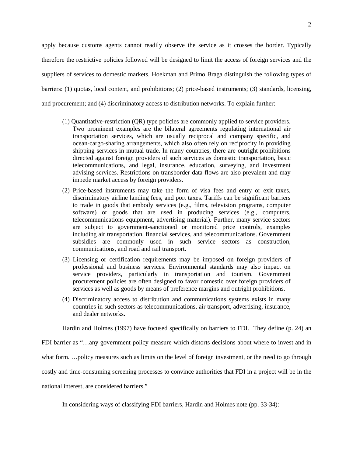apply because customs agents cannot readily observe the service as it crosses the border. Typically therefore the restrictive policies followed will be designed to limit the access of foreign services and the suppliers of services to domestic markets. Hoekman and Primo Braga distinguish the following types of barriers: (1) quotas, local content, and prohibitions; (2) price-based instruments; (3) standards, licensing, and procurement; and (4) discriminatory access to distribution networks. To explain further:

- (1) Quantitative-restriction (QR) type policies are commonly applied to service providers. Two prominent examples are the bilateral agreements regulating international air transportation services, which are usually reciprocal and company specific, and ocean-cargo-sharing arrangements, which also often rely on reciprocity in providing shipping services in mutual trade. In many countries, there are outright prohibitions directed against foreign providers of such services as domestic transportation, basic telecommunications, and legal, insurance, education, surveying, and investment advising services. Restrictions on transborder data flows are also prevalent and may impede market access by foreign providers.
- (2) Price-based instruments may take the form of visa fees and entry or exit taxes, discriminatory airline landing fees, and port taxes. Tariffs can be significant barriers to trade in goods that embody services (e.g., films, television programs, computer software) or goods that are used in producing services (e.g., computers, telecommunications equipment, advertising material). Further, many service sectors are subject to government-sanctioned or monitored price controls, examples including air transportation, financial services, and telecommunications. Government subsidies are commonly used in such service sectors as construction, communications, and road and rail transport.
- (3) Licensing or certification requirements may be imposed on foreign providers of professional and business services. Environmental standards may also impact on service providers, particularly in transportation and tourism. Government procurement policies are often designed to favor domestic over foreign providers of services as well as goods by means of preference margins and outright prohibitions.
- (4) Discriminatory access to distribution and communications systems exists in many countries in such sectors as telecommunications, air transport, advertising, insurance, and dealer networks.

Hardin and Holmes (1997) have focused specifically on barriers to FDI. They define (p. 24) an

FDI barrier as "…any government policy measure which distorts decisions about where to invest and in

what form. ...policy measures such as limits on the level of foreign investment, or the need to go through

costly and time-consuming screening processes to convince authorities that FDI in a project will be in the

national interest, are considered barriers."

In considering ways of classifying FDI barriers, Hardin and Holmes note (pp. 33-34):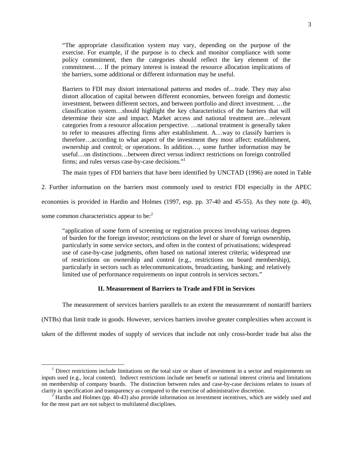"The appropriate classification system may vary, depending on the purpose of the exercise. For example, if the purpose is to check and monitor compliance with some policy commitment, then the categories should reflect the key element of the commitment…. If the primary interest is instead the resource allocation implications of the barriers, some additional or different information may be useful.

Barriers to FDI may distort international patterns and modes of…trade. They may also distort allocation of capital between different economies, between foreign and domestic investment, between different sectors, and between portfolio and direct investment. …the classification system…should highlight the key characteristics of the barriers that will determine their size and impact. Market access and national treatment are…relevant categories from a resource allocation perspective. …national treatment is generally taken to refer to measures affecting firms after establishment. A…way to classify barriers is therefore…according to what aspect of the investment they most affect: establishment, ownership and control; or operations. In addition…, some further information may be useful…on distinctions…between direct versus indirect restrictions on foreign controlled firms; and rules versus case-by-case decisions."<sup>1</sup>

The main types of FDI barriers that have been identified by UNCTAD (1996) are noted in Table

2. Further information on the barriers most commonly used to restrict FDI especially in the APEC

economies is provided in Hardin and Holmes (1997, esp. pp. 37-40 and 45-55). As they note (p. 40),

some common characteristics appear to be: $<sup>2</sup>$ </sup>

"application of some form of screening or registration process involving various degrees of burden for the foreign investor; restrictions on the level or share of foreign ownership, particularly in some service sectors, and often in the context of privatisations; widespread use of case-by-case judgments, often based on national interest criteria; widespread use of restrictions on ownership and control (e.g., restrictions on board membership), particularly in sectors such as telecommunications, broadcasting, banking; and relatively limited use of performance requirements on input controls in services sectors."

### **II. Measurement of Barriers to Trade and FDI in Services**

The measurement of services barriers parallels to an extent the measurement of nontariff barriers

(NTBs) that limit trade in goods. However, services barriers involve greater complexities when account is

taken of the different modes of supply of services that include not only cross-border trade but also the

 <sup>1</sup>  $<sup>1</sup>$  Direct restrictions include limitations on the total size or share of investment in a sector and requirements on</sup> inputs used (e.g., local content). Indirect restrictions include net benefit or national interest criteria and limitations on membership of company boards. The distinction between rules and case-by-case decisions relates to issues of clarity in specification and transparency as compared to the exercise of administrative discretion. 2

 $^2$  Hardin and Holmes (pp. 40-43) also provide information on investment incentives, which are widely used and for the most part are not subject to multilateral disciplines.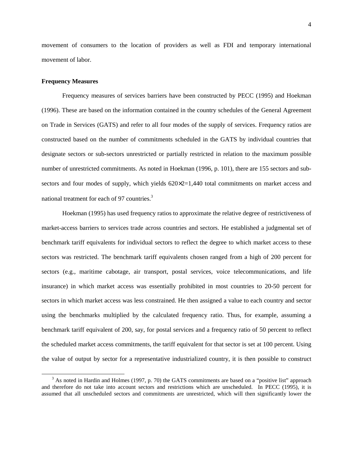movement of consumers to the location of providers as well as FDI and temporary international movement of labor.

### **Frequency Measures**

 Frequency measures of services barriers have been constructed by PECC (1995) and Hoekman (1996). These are based on the information contained in the country schedules of the General Agreement on Trade in Services (GATS) and refer to all four modes of the supply of services. Frequency ratios are constructed based on the number of commitments scheduled in the GATS by individual countries that designate sectors or sub-sectors unrestricted or partially restricted in relation to the maximum possible number of unrestricted commitments. As noted in Hoekman (1996, p. 101), there are 155 sectors and subsectors and four modes of supply, which yields  $620 \times 2=1,440$  total commitments on market access and national treatment for each of 97 countries.<sup>3</sup>

 Hoekman (1995) has used frequency ratios to approximate the relative degree of restrictiveness of market-access barriers to services trade across countries and sectors. He established a judgmental set of benchmark tariff equivalents for individual sectors to reflect the degree to which market access to these sectors was restricted. The benchmark tariff equivalents chosen ranged from a high of 200 percent for sectors (e.g., maritime cabotage, air transport, postal services, voice telecommunications, and life insurance) in which market access was essentially prohibited in most countries to 20-50 percent for sectors in which market access was less constrained. He then assigned a value to each country and sector using the benchmarks multiplied by the calculated frequency ratio. Thus, for example, assuming a benchmark tariff equivalent of 200, say, for postal services and a frequency ratio of 50 percent to reflect the scheduled market access commitments, the tariff equivalent for that sector is set at 100 percent. Using the value of output by sector for a representative industrialized country, it is then possible to construct

<sup>&</sup>lt;sup>3</sup> As noted in Hardin and Holmes (1997, p. 70) the GATS commitments are based on a "positive list" approach and therefore do not take into account sectors and restrictions which are unscheduled. In PECC (1995), it is assumed that all unscheduled sectors and commitments are unrestricted, which will then significantly lower the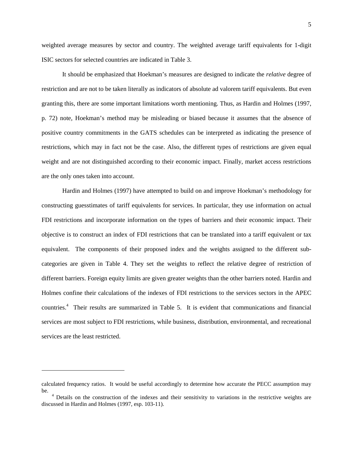weighted average measures by sector and country. The weighted average tariff equivalents for 1-digit ISIC sectors for selected countries are indicated in Table 3.

 It should be emphasized that Hoekman's measures are designed to indicate the *relative* degree of restriction and are not to be taken literally as indicators of absolute ad valorem tariff equivalents. But even granting this, there are some important limitations worth mentioning. Thus, as Hardin and Holmes (1997, p. 72) note, Hoekman's method may be misleading or biased because it assumes that the absence of positive country commitments in the GATS schedules can be interpreted as indicating the presence of restrictions, which may in fact not be the case. Also, the different types of restrictions are given equal weight and are not distinguished according to their economic impact. Finally, market access restrictions are the only ones taken into account.

 Hardin and Holmes (1997) have attempted to build on and improve Hoekman's methodology for constructing guesstimates of tariff equivalents for services. In particular, they use information on actual FDI restrictions and incorporate information on the types of barriers and their economic impact. Their objective is to construct an index of FDI restrictions that can be translated into a tariff equivalent or tax equivalent. The components of their proposed index and the weights assigned to the different subcategories are given in Table 4. They set the weights to reflect the relative degree of restriction of different barriers. Foreign equity limits are given greater weights than the other barriers noted. Hardin and Holmes confine their calculations of the indexes of FDI restrictions to the services sectors in the APEC countries.<sup>4</sup> Their results are summarized in Table 5. It is evident that communications and financial services are most subject to FDI restrictions, while business, distribution, environmental, and recreational services are the least restricted.

 $\overline{a}$ 

calculated frequency ratios. It would be useful accordingly to determine how accurate the PECC assumption may be.

Details on the construction of the indexes and their sensitivity to variations in the restrictive weights are discussed in Hardin and Holmes (1997, esp. 103-11).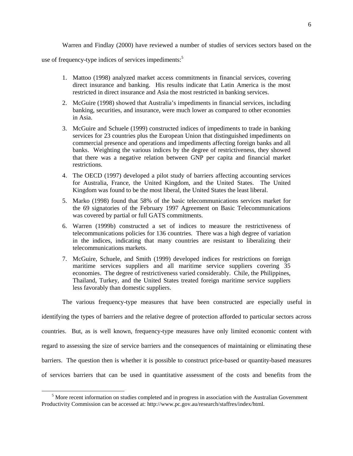Warren and Findlay (2000) have reviewed a number of studies of services sectors based on the

use of frequency-type indices of services impediments:<sup>5</sup>

- 1. Mattoo (1998) analyzed market access commitments in financial services, covering direct insurance and banking. His results indicate that Latin America is the most restricted in direct insurance and Asia the most restricted in banking services.
- 2. McGuire (1998) showed that Australia's impediments in financial services, including banking, securities, and insurance, were much lower as compared to other economies in Asia.
- 3. McGuire and Schuele (1999) constructed indices of impediments to trade in banking services for 23 countries plus the European Union that distinguished impediments on commercial presence and operations and impediments affecting foreign banks and all banks. Weighting the various indices by the degree of restrictiveness, they showed that there was a negative relation between GNP per capita and financial market restrictions.
- 4. The OECD (1997) developed a pilot study of barriers affecting accounting services for Australia, France, the United Kingdom, and the United States. The United Kingdom was found to be the most liberal, the United States the least liberal.
- 5. Marko (1998) found that 58% of the basic telecommunications services market for the 69 signatories of the February 1997 Agreement on Basic Telecommunications was covered by partial or full GATS commitments.
- 6. Warren (1999b) constructed a set of indices to measure the restrictiveness of telecommunications policies for 136 countries. There was a high degree of variation in the indices, indicating that many countries are resistant to liberalizing their telecommunications markets.
- 7. McGuire, Schuele, and Smith (1999) developed indices for restrictions on foreign maritime services suppliers and all maritime service suppliers covering 35 economies. The degree of restrictiveness varied considerably. Chile, the Philippines, Thailand, Turkey, and the United States treated foreign maritime service suppliers less favorably than domestic suppliers.

The various frequency-type measures that have been constructed are especially useful in

identifying the types of barriers and the relative degree of protection afforded to particular sectors across countries. But, as is well known, frequency-type measures have only limited economic content with regard to assessing the size of service barriers and the consequences of maintaining or eliminating these barriers. The question then is whether it is possible to construct price-based or quantity-based measures of services barriers that can be used in quantitative assessment of the costs and benefits from the

 $rac{1}{5}$  $<sup>5</sup>$  More recent information on studies completed and in progress in association with the Australian Government</sup> Productivity Commission can be accessed at: http://www.pc.gov.au/research/staffres/index/html.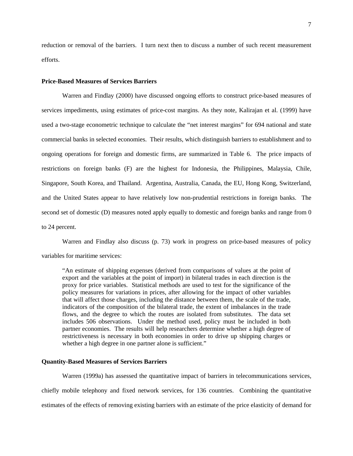reduction or removal of the barriers. I turn next then to discuss a number of such recent measurement efforts.

#### **Price-Based Measures of Services Barriers**

Warren and Findlay (2000) have discussed ongoing efforts to construct price-based measures of services impediments, using estimates of price-cost margins. As they note, Kalirajan et al. (1999) have used a two-stage econometric technique to calculate the "net interest margins" for 694 national and state commercial banks in selected economies. Their results, which distinguish barriers to establishment and to ongoing operations for foreign and domestic firms, are summarized in Table 6. The price impacts of restrictions on foreign banks (F) are the highest for Indonesia, the Philippines, Malaysia, Chile, Singapore, South Korea, and Thailand. Argentina, Australia, Canada, the EU, Hong Kong, Switzerland, and the United States appear to have relatively low non-prudential restrictions in foreign banks. The second set of domestic (D) measures noted apply equally to domestic and foreign banks and range from 0 to 24 percent.

 Warren and Findlay also discuss (p. 73) work in progress on price-based measures of policy variables for maritime services:

"An estimate of shipping expenses (derived from comparisons of values at the point of export and the variables at the point of import) in bilateral trades in each direction is the proxy for price variables. Statistical methods are used to test for the significance of the policy measures for variations in prices, after allowing for the impact of other variables that will affect those charges, including the distance between them, the scale of the trade, indicators of the composition of the bilateral trade, the extent of imbalances in the trade flows, and the degree to which the routes are isolated from substitutes. The data set includes 506 observations. Under the method used, policy must be included in both partner economies. The results will help researchers determine whether a high degree of restrictiveness is necessary in both economies in order to drive up shipping charges or whether a high degree in one partner alone is sufficient."

### **Quantity-Based Measures of Services Barriers**

Warren (1999a) has assessed the quantitative impact of barriers in telecommunications services, chiefly mobile telephony and fixed network services, for 136 countries. Combining the quantitative estimates of the effects of removing existing barriers with an estimate of the price elasticity of demand for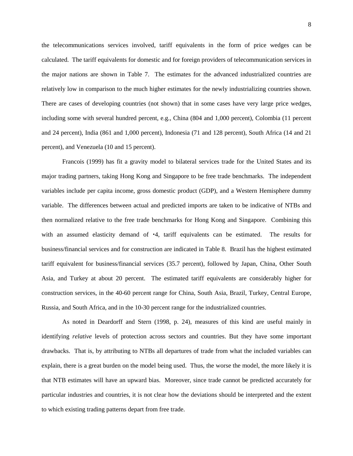the telecommunications services involved, tariff equivalents in the form of price wedges can be calculated. The tariff equivalents for domestic and for foreign providers of telecommunication services in the major nations are shown in Table 7. The estimates for the advanced industrialized countries are relatively low in comparison to the much higher estimates for the newly industrializing countries shown. There are cases of developing countries (not shown) that in some cases have very large price wedges, including some with several hundred percent, e.g., China (804 and 1,000 percent), Colombia (11 percent and 24 percent), India (861 and 1,000 percent), Indonesia (71 and 128 percent), South Africa (14 and 21 percent), and Venezuela (10 and 15 percent).

 Francois (1999) has fit a gravity model to bilateral services trade for the United States and its major trading partners, taking Hong Kong and Singapore to be free trade benchmarks. The independent variables include per capita income, gross domestic product (GDP), and a Western Hemisphere dummy variable. The differences between actual and predicted imports are taken to be indicative of NTBs and then normalized relative to the free trade benchmarks for Hong Kong and Singapore. Combining this with an assumed elasticity demand of  $\cdot$ 4, tariff equivalents can be estimated. The results for business/financial services and for construction are indicated in Table 8. Brazil has the highest estimated tariff equivalent for business/financial services (35.7 percent), followed by Japan, China, Other South Asia, and Turkey at about 20 percent. The estimated tariff equivalents are considerably higher for construction services, in the 40-60 percent range for China, South Asia, Brazil, Turkey, Central Europe, Russia, and South Africa, and in the 10-30 percent range for the industrialized countries.

As noted in Deardorff and Stern (1998, p. 24), measures of this kind are useful mainly in identifying *relative* levels of protection across sectors and countries. But they have some important drawbacks. That is, by attributing to NTBs all departures of trade from what the included variables can explain, there is a great burden on the model being used. Thus, the worse the model, the more likely it is that NTB estimates will have an upward bias. Moreover, since trade cannot be predicted accurately for particular industries and countries, it is not clear how the deviations should be interpreted and the extent to which existing trading patterns depart from free trade.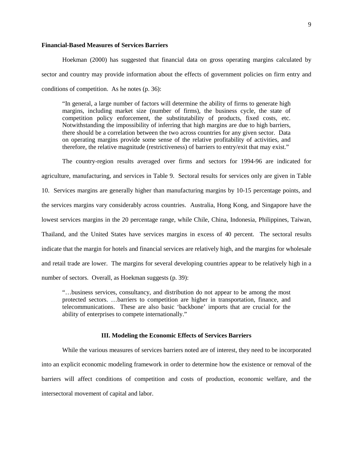#### **Financial-Based Measures of Services Barriers**

 Hoekman (2000) has suggested that financial data on gross operating margins calculated by sector and country may provide information about the effects of government policies on firm entry and conditions of competition. As he notes (p. 36):

"In general, a large number of factors will determine the ability of firms to generate high margins, including market size (number of firms), the business cycle, the state of competition policy enforcement, the substitutability of products, fixed costs, etc. Notwithstanding the impossibility of inferring that high margins are due to high barriers, there should be a correlation between the two across countries for any given sector. Data on operating margins provide some sense of the relative profitability of activities, and therefore, the relative magnitude (restrictiveness) of barriers to entry/exit that may exist."

The country-region results averaged over firms and sectors for 1994-96 are indicated for agriculture, manufacturing, and services in Table 9. Sectoral results for services only are given in Table 10. Services margins are generally higher than manufacturing margins by 10-15 percentage points, and the services margins vary considerably across countries. Australia, Hong Kong, and Singapore have the lowest services margins in the 20 percentage range, while Chile, China, Indonesia, Philippines, Taiwan, Thailand, and the United States have services margins in excess of 40 percent. The sectoral results indicate that the margin for hotels and financial services are relatively high, and the margins for wholesale and retail trade are lower. The margins for several developing countries appear to be relatively high in a number of sectors. Overall, as Hoekman suggests (p. 39):

"…business services, consultancy, and distribution do not appear to be among the most protected sectors. …barriers to competition are higher in transportation, finance, and telecommunications. These are also basic 'backbone' imports that are crucial for the ability of enterprises to compete internationally."

#### **III. Modeling the Economic Effects of Services Barriers**

While the various measures of services barriers noted are of interest, they need to be incorporated into an explicit economic modeling framework in order to determine how the existence or removal of the barriers will affect conditions of competition and costs of production, economic welfare, and the intersectoral movement of capital and labor.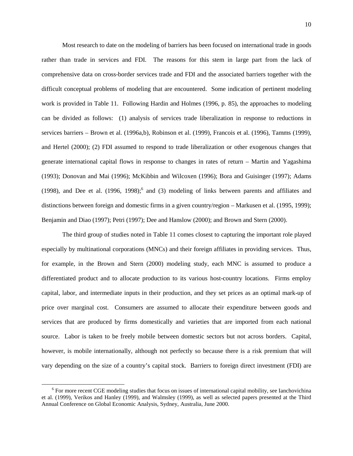Most research to date on the modeling of barriers has been focused on international trade in goods rather than trade in services and FDI. The reasons for this stem in large part from the lack of comprehensive data on cross-border services trade and FDI and the associated barriers together with the difficult conceptual problems of modeling that are encountered. Some indication of pertinent modeling work is provided in Table 11. Following Hardin and Holmes (1996, p. 85), the approaches to modeling can be divided as follows: (1) analysis of services trade liberalization in response to reductions in services barriers – Brown et al. (1996a,b), Robinson et al. (1999), Francois et al. (1996), Tamms (1999), and Hertel (2000); (2) FDI assumed to respond to trade liberalization or other exogenous changes that generate international capital flows in response to changes in rates of return – Martin and Yagashima (1993); Donovan and Mai (1996); McKibbin and Wilcoxen (1996); Bora and Guisinger (1997); Adams (1998), and Dee et al.  $(1996, 1998)$ <sup>6</sup>, and  $(3)$  modeling of links between parents and affiliates and distinctions between foreign and domestic firms in a given country/region – Markusen et al. (1995, 1999); Benjamin and Diao (1997); Petri (1997); Dee and Hanslow (2000); and Brown and Stern (2000).

The third group of studies noted in Table 11 comes closest to capturing the important role played especially by multinational corporations (MNCs) and their foreign affiliates in providing services. Thus, for example, in the Brown and Stern (2000) modeling study, each MNC is assumed to produce a differentiated product and to allocate production to its various host-country locations. Firms employ capital, labor, and intermediate inputs in their production, and they set prices as an optimal mark-up of price over marginal cost. Consumers are assumed to allocate their expenditure between goods and services that are produced by firms domestically and varieties that are imported from each national source. Labor is taken to be freely mobile between domestic sectors but not across borders. Capital, however, is mobile internationally, although not perfectly so because there is a risk premium that will vary depending on the size of a country's capital stock. Barriers to foreign direct investment (FDI) are

 $\overline{6}$  $<sup>6</sup>$  For more recent CGE modeling studies that focus on issues of international capital mobility, see Ianchovichina</sup> et al. (1999), Verikos and Hanley (1999), and Walmsley (1999), as well as selected papers presented at the Third Annual Conference on Global Economic Analysis, Sydney, Australia, June 2000.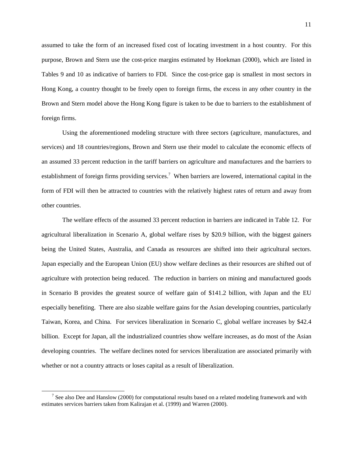assumed to take the form of an increased fixed cost of locating investment in a host country. For this purpose, Brown and Stern use the cost-price margins estimated by Hoekman (2000), which are listed in Tables 9 and 10 as indicative of barriers to FDI. Since the cost-price gap is smallest in most sectors in Hong Kong, a country thought to be freely open to foreign firms, the excess in any other country in the Brown and Stern model above the Hong Kong figure is taken to be due to barriers to the establishment of foreign firms.

Using the aforementioned modeling structure with three sectors (agriculture, manufactures, and services) and 18 countries/regions, Brown and Stern use their model to calculate the economic effects of an assumed 33 percent reduction in the tariff barriers on agriculture and manufactures and the barriers to establishment of foreign firms providing services.<sup>7</sup> When barriers are lowered, international capital in the form of FDI will then be attracted to countries with the relatively highest rates of return and away from other countries.

The welfare effects of the assumed 33 percent reduction in barriers are indicated in Table 12. For agricultural liberalization in Scenario A, global welfare rises by \$20.9 billion, with the biggest gainers being the United States, Australia, and Canada as resources are shifted into their agricultural sectors. Japan especially and the European Union (EU) show welfare declines as their resources are shifted out of agriculture with protection being reduced. The reduction in barriers on mining and manufactured goods in Scenario B provides the greatest source of welfare gain of \$141.2 billion, with Japan and the EU especially benefiting. There are also sizable welfare gains for the Asian developing countries, particularly Taiwan, Korea, and China. For services liberalization in Scenario C, global welfare increases by \$42.4 billion. Except for Japan, all the industrialized countries show welfare increases, as do most of the Asian developing countries. The welfare declines noted for services liberalization are associated primarily with whether or not a country attracts or loses capital as a result of liberalization.

 $\frac{1}{7}$ <sup>7</sup> See also Dee and Hanslow (2000) for computational results based on a related modeling framework and with estimates services barriers taken from Kalirajan et al. (1999) and Warren (2000).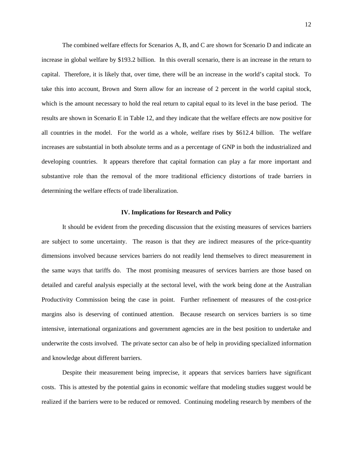The combined welfare effects for Scenarios A, B, and C are shown for Scenario D and indicate an increase in global welfare by \$193.2 billion. In this overall scenario, there is an increase in the return to capital. Therefore, it is likely that, over time, there will be an increase in the world's capital stock. To take this into account, Brown and Stern allow for an increase of 2 percent in the world capital stock, which is the amount necessary to hold the real return to capital equal to its level in the base period. The results are shown in Scenario E in Table 12, and they indicate that the welfare effects are now positive for all countries in the model. For the world as a whole, welfare rises by \$612.4 billion. The welfare increases are substantial in both absolute terms and as a percentage of GNP in both the industrialized and developing countries. It appears therefore that capital formation can play a far more important and substantive role than the removal of the more traditional efficiency distortions of trade barriers in determining the welfare effects of trade liberalization.

#### **IV. Implications for Research and Policy**

 It should be evident from the preceding discussion that the existing measures of services barriers are subject to some uncertainty. The reason is that they are indirect measures of the price-quantity dimensions involved because services barriers do not readily lend themselves to direct measurement in the same ways that tariffs do. The most promising measures of services barriers are those based on detailed and careful analysis especially at the sectoral level, with the work being done at the Australian Productivity Commission being the case in point. Further refinement of measures of the cost-price margins also is deserving of continued attention. Because research on services barriers is so time intensive, international organizations and government agencies are in the best position to undertake and underwrite the costs involved. The private sector can also be of help in providing specialized information and knowledge about different barriers.

Despite their measurement being imprecise, it appears that services barriers have significant costs. This is attested by the potential gains in economic welfare that modeling studies suggest would be realized if the barriers were to be reduced or removed. Continuing modeling research by members of the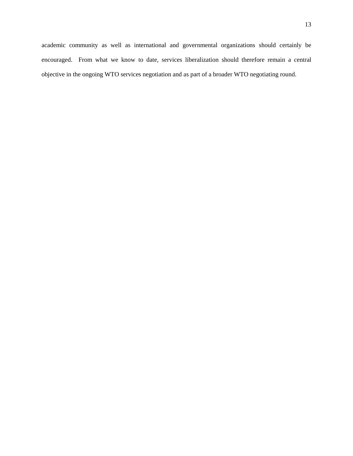academic community as well as international and governmental organizations should certainly be encouraged. From what we know to date, services liberalization should therefore remain a central objective in the ongoing WTO services negotiation and as part of a broader WTO negotiating round.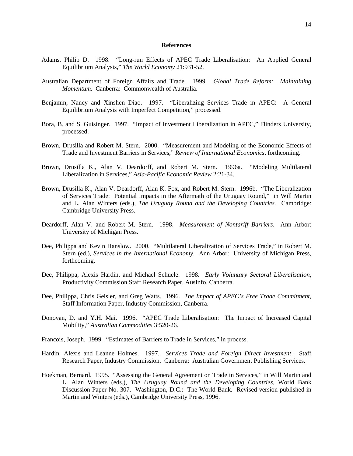#### **References**

- Adams, Philip D. 1998. "Long-run Effects of APEC Trade Liberalisation: An Applied General Equilibrium Analysis," *The World Economy* 21:931-52*.*
- Australian Department of Foreign Affairs and Trade. 1999. *Global Trade Reform: Maintaining Momentum*. Canberra: Commonwealth of Australia.
- Benjamin, Nancy and Xinshen Diao. 1997. "Liberalizing Services Trade in APEC: A General Equilibrium Analysis with Imperfect Competition," processed.
- Bora, B. and S. Guisinger. 1997. "Impact of Investment Liberalization in APEC," Flinders University, processed.
- Brown, Drusilla and Robert M. Stern. 2000. "Measurement and Modeling of the Economic Effects of Trade and Investment Barriers in Services," *Review of International Economics*, forthcoming.
- Brown, Drusilla K., Alan V. Deardorff, and Robert M. Stern. 1996a. "Modeling Multilateral Liberalization in Services," *Asia-Pacific Economic Review* 2:21-34.
- Brown, Drusilla K., Alan V. Deardorff, Alan K. Fox, and Robert M. Stern. 1996b. "The Liberalization of Services Trade: Potential Impacts in the Aftermath of the Uruguay Round," in Will Martin and L. Alan Winters (eds.), *The Uruguay Round and the Developing Countries.* Cambridge: Cambridge University Press.
- Deardorff, Alan V. and Robert M. Stern. 1998. *Measurement of Nontariff Barriers*. Ann Arbor: University of Michigan Press.
- Dee, Philippa and Kevin Hanslow. 2000. "Multilateral Liberalization of Services Trade," in Robert M. Stern (ed.), *Services in the International Economy*. Ann Arbor: University of Michigan Press, forthcoming.
- Dee, Philippa, Alexis Hardin, and Michael Schuele. 1998. *Early Voluntary Sectoral Liberalisation,*  Productivity Commission Staff Research Paper, AusInfo, Canberra.
- Dee, Philippa, Chris Geisler, and Greg Watts. 1996. *The Impact of APEC's Free Trade Commitment,*  Staff Information Paper, Industry Commission, Canberra.
- Donovan, D. and Y.H. Mai. 1996. "APEC Trade Liberalisation: The Impact of Increased Capital Mobility," *Australian Commodities* 3:520-26.
- Francois, Joseph. 1999. "Estimates of Barriers to Trade in Services," in process.
- Hardin, Alexis and Leanne Holmes. 1997. *Services Trade and Foreign Direct Investment*. Staff Research Paper, Industry Commission. Canberra: Australian Government Publishing Services.
- Hoekman, Bernard. 1995. "Assessing the General Agreement on Trade in Services," in Will Martin and L. Alan Winters (eds.), *The Uruguay Round and the Developing Countries*, World Bank Discussion Paper No. 307. Washington, D.C.: The World Bank. Revised version published in Martin and Winters (eds.), Cambridge University Press, 1996.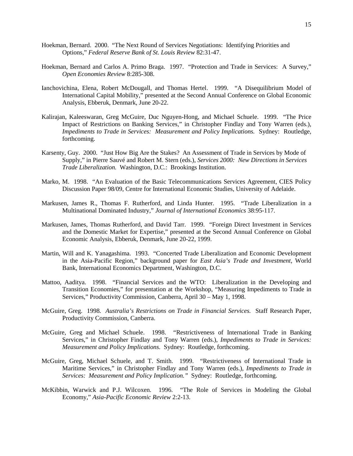- Hoekman, Bernard. 2000. "The Next Round of Services Negotiations: Identifying Priorities and Options," *Federal Reserve Bank of St. Louis Review* 82:31-47.
- Hoekman, Bernard and Carlos A. Primo Braga. 1997. "Protection and Trade in Services: A Survey," *Open Economies Review* 8:285-308.
- Ianchovichina, Elena, Robert McDougall, and Thomas Hertel. 1999. "A Disequilibrium Model of International Capital Mobility," presented at the Second Annual Conference on Global Economic Analysis, Ebberuk, Denmark, June 20-22.
- Kalirajan, Kaleeswaran, Greg McGuire, Duc Nguyen-Hong, and Michael Schuele. 1999. "The Price Impact of Restrictions on Banking Services," in Christopher Findlay and Tony Warren (eds.), *Impediments to Trade in Services: Measurement and Policy Implications.* Sydney: Routledge, forthcoming.
- Karsenty, Guy. 2000. "Just How Big Are the Stakes? An Assessment of Trade in Services by Mode of Supply," in Pierre Sauvé and Robert M. Stern (eds.), *Services 2000: New Directions in Services Trade Liberalization.* Washington, D.C.: Brookings Institution.
- Marko, M. 1998. "An Evaluation of the Basic Telecommunications Services Agreement, CIES Policy Discussion Paper 98/09, Centre for International Economic Studies, University of Adelaide.
- Markusen, James R., Thomas F. Rutherford, and Linda Hunter. 1995. "Trade Liberalization in a Multinational Dominated Industry," *Journal of International Economics* 38:95-117.
- Markusen, James, Thomas Rutherford, and David Tarr. 1999. "Foreign Direct Investment in Services and the Domestic Market for Expertise," presented at the Second Annual Conference on Global Economic Analysis, Ebberuk, Denmark, June 20-22, 1999.
- Martin, Will and K. Yanagashima. 1993. "Concerted Trade Liberalization and Economic Development in the Asia-Pacific Region," background paper for *East Asia's Trade and Investment*, World Bank, International Economics Department, Washington, D.C.
- Mattoo, Aaditya. 1998. "Financial Services and the WTO: Liberalization in the Developing and Transition Economies," for presentation at the Workshop, "Measuring Impediments to Trade in Services," Productivity Commission, Canberra, April 30 – May 1, 1998.
- McGuire, Greg. 1998. *Australia's Restrictions on Trade in Financial Services.* Staff Research Paper, Productivity Commission, Canberra.
- McGuire, Greg and Michael Schuele. 1998. "Restrictiveness of International Trade in Banking Services," in Christopher Findlay and Tony Warren (eds.), *Impediments to Trade in Services: Measurement and Policy Implications.* Sydney: Routledge, forthcoming.
- McGuire, Greg, Michael Schuele, and T. Smith. 1999. "Restrictiveness of International Trade in Maritime Services," in Christopher Findlay and Tony Warren (eds.), *Impediments to Trade in Services: Measurement and Policy Implication."* Sydney: Routledge, forthcoming.
- McKibbin, Warwick and P.J. Wilcoxen. 1996. "The Role of Services in Modeling the Global Economy," *Asia-Pacific Economic Review* 2:2-13.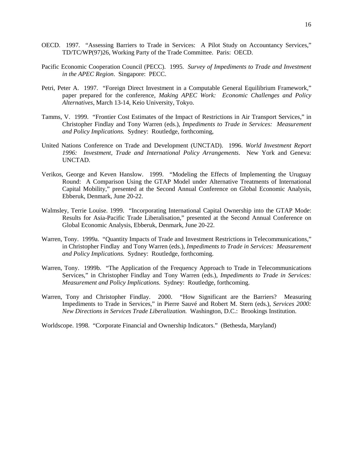- OECD. 1997. "Assessing Barriers to Trade in Services: A Pilot Study on Accountancy Services," TD/TC/WP(97)26, Working Party of the Trade Committee. Paris: OECD.
- Pacific Economic Cooperation Council (PECC). 1995. *Survey of Impediments to Trade and Investment in the APEC Region*. Singapore: PECC.
- Petri, Peter A. 1997. "Foreign Direct Investment in a Computable General Equilibrium Framework," paper prepared for the conference, *Making APEC Work: Economic Challenges and Policy Alternatives*, March 13-14, Keio University, Tokyo.
- Tamms, V. 1999. "Frontier Cost Estimates of the Impact of Restrictions in Air Transport Services," in Christopher Findlay and Tony Warren (eds.), *Impediments to Trade in Services: Measurement and Policy Implications.* Sydney: Routledge, forthcoming,
- United Nations Conference on Trade and Development (UNCTAD). 1996. *World Investment Report 1996: Investment, Trade and International Policy Arrangements*. New York and Geneva: UNCTAD.
- Verikos, George and Keven Hanslow. 1999. "Modeling the Effects of Implementing the Uruguay Round: A Comparison Using the GTAP Model under Alternative Treatments of International Capital Mobility," presented at the Second Annual Conference on Global Economic Analysis, Ebberuk, Denmark, June 20-22.
- Walmsley, Terrie Louise. 1999. "Incorporating International Capital Ownership into the GTAP Mode: Results for Asia-Pacific Trade Liberalisation," presented at the Second Annual Conference on Global Economic Analysis, Ebberuk, Denmark, June 20-22.
- Warren, Tony. 1999a. "Quantity Impacts of Trade and Investment Restrictions in Telecommunications," in Christopher Findlay and Tony Warren (eds.), *Impediments to Trade in Services: Measurement and Policy Implications.* Sydney: Routledge, forthcoming.
- Warren, Tony. 1999b. "The Application of the Frequency Approach to Trade in Telecommunications Services," in Christopher Findlay and Tony Warren (eds.), *Impediments to Trade in Services: Measurement and Policy Implications.* Sydney: Routledge, forthcoming.
- Warren, Tony and Christopher Findlay. 2000. "How Significant are the Barriers? Measuring Impediments to Trade in Services," in Pierre Sauvé and Robert M. Stern (eds.), *Services 2000: New Directions in Services Trade Liberalization.* Washington, D.C.: Brookings Institution.

Worldscope. 1998. "Corporate Financial and Ownership Indicators." (Bethesda, Maryland)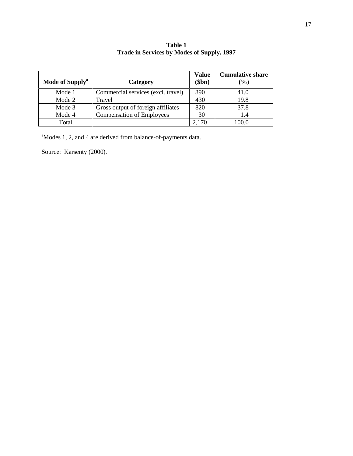**Table 1 Trade in Services by Modes of Supply, 1997** 

| Mode of Supply <sup>a</sup> | Category                           | <b>Value</b><br>\$bm) | <b>Cumulative share</b><br>$(\%)$ |
|-----------------------------|------------------------------------|-----------------------|-----------------------------------|
| Mode 1                      | Commercial services (excl. travel) | 890                   | 41.0                              |
| Mode 2                      | Travel                             | 430                   | 19.8                              |
| Mode 3                      | Gross output of foreign affiliates | 820                   | 37.8                              |
| Mode 4                      | <b>Compensation of Employees</b>   | 30                    | 1.4                               |
| Total                       |                                    | 2,170                 | 100.0                             |

<sup>a</sup>Modes 1, 2, and 4 are derived from balance-of-payments data.

Source: Karsenty (2000).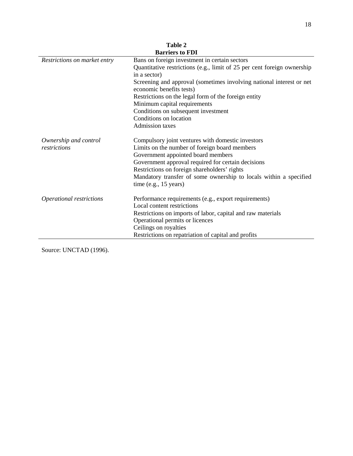| Dallius WTDI                                                            |  |  |  |  |
|-------------------------------------------------------------------------|--|--|--|--|
| Bans on foreign investment in certain sectors                           |  |  |  |  |
| Quantitative restrictions (e.g., limit of 25 per cent foreign ownership |  |  |  |  |
| in a sector)                                                            |  |  |  |  |
| Screening and approval (sometimes involving national interest or net    |  |  |  |  |
| economic benefits tests)                                                |  |  |  |  |
| Restrictions on the legal form of the foreign entity                    |  |  |  |  |
| Minimum capital requirements                                            |  |  |  |  |
| Conditions on subsequent investment                                     |  |  |  |  |
| Conditions on location                                                  |  |  |  |  |
| Admission taxes                                                         |  |  |  |  |
| Compulsory joint ventures with domestic investors                       |  |  |  |  |
| Limits on the number of foreign board members                           |  |  |  |  |
| Government appointed board members                                      |  |  |  |  |
| Government approval required for certain decisions                      |  |  |  |  |
| Restrictions on foreign shareholders' rights                            |  |  |  |  |
| Mandatory transfer of some ownership to locals within a specified       |  |  |  |  |
| time $(e.g., 15 years)$                                                 |  |  |  |  |
| Performance requirements (e.g., export requirements)                    |  |  |  |  |
| Local content restrictions                                              |  |  |  |  |
| Restrictions on imports of labor, capital and raw materials             |  |  |  |  |
| Operational permits or licences                                         |  |  |  |  |
| Ceilings on royalties                                                   |  |  |  |  |
| Restrictions on repatriation of capital and profits                     |  |  |  |  |
|                                                                         |  |  |  |  |

**Table 2 Barriers to FDI** 

Source: UNCTAD (1996).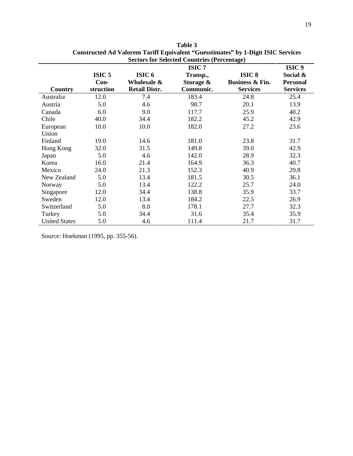|                      |                   |                      | Sectors for Selected Countries (Percentage) |                   |                   |
|----------------------|-------------------|----------------------|---------------------------------------------|-------------------|-------------------|
|                      |                   |                      | ISIC <sub>7</sub>                           |                   | ISIC <sub>9</sub> |
|                      | ISIC <sub>5</sub> | ISIC <sub>6</sub>    | Transp.,                                    | ISIC <sub>8</sub> | Social &          |
|                      | Con-              | Wholesale &          | Storage &                                   | Business & Fin.   | <b>Personal</b>   |
| Country              | struction         | <b>Retail Distr.</b> | Communic.                                   | <b>Services</b>   | <b>Services</b>   |
| Australia            | 12.0              | 7.4                  | 183.4                                       | 24.8              | 25.4              |
| Austria              | 5.0               | 4.6                  | 98.7                                        | 20.1              | 13.9              |
| Canada               | 6.0               | 9.0                  | 117.7                                       | 25.9              | 40.2              |
| Chile                | 40.0              | 34.4                 | 182.2                                       | 45.2              | 42.9              |
| European             | 10.0              | 10.0                 | 182.0                                       | 27.2              | 23.6              |
| Union                |                   |                      |                                             |                   |                   |
| Finland              | 19.0              | 14.6                 | 181.0                                       | 23.8              | 31.7              |
| Hong Kong            | 32.0              | 31.5                 | 149.8                                       | 39.0              | 42.9              |
| Japan                | 5.0               | 4.6                  | 142.0                                       | 28.9              | 32.3              |
| Korea                | 16.0              | 21.4                 | 164.9                                       | 36.3              | 40.7              |
| Mexico               | 24.0              | 21.3                 | 152.3                                       | 40.9              | 29.8              |
| New Zealand          | 5.0               | 13.4                 | 181.5                                       | 30.5              | 36.1              |
| Norway               | 5.0               | 13.4                 | 122.2                                       | 25.7              | 24.0              |
| Singapore            | 12.0              | 34.4                 | 138.8                                       | 35.9              | 33.7              |
| Sweden               | 12.0              | 13.4                 | 184.2                                       | 22.5              | 26.9              |
| Switzerland          | 5.0               | 8.0                  | 178.1                                       | 27.7              | 32.3              |
| Turkey               | 5.0               | 34.4                 | 31.6                                        | 35.4              | 35.9              |
| <b>United States</b> | 5.0               | 4.6                  | 111.4                                       | 21.7              | 31.7              |

**Table 3 Constructed Ad Valorem Tariff Equivalent "Guesstimates" by 1-Digit ISIC Services Sectors for Selected Countries (Percentage)** 

Source: Hoekman (1995, pp. 355-56).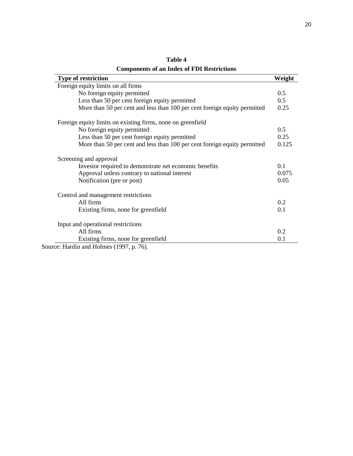| <b>Type of restriction</b>                                                | Weight |
|---------------------------------------------------------------------------|--------|
| Foreign equity limits on all firms                                        |        |
| No foreign equity permitted                                               | 0.5    |
| Less than 50 per cent foreign equity permitted                            | 0.5    |
| More than 50 per cent and less than 100 per cent foreign equity permitted | 0.25   |
| Foreign equity limits on existing firms, none on greenfield               |        |
| No foreign equity permitted                                               | 0.5    |
| Less than 50 per cent foreign equity permitted                            | 0.25   |
| More than 50 per cent and less than 100 per cent foreign equity permitted | 0.125  |
| Screening and approval                                                    |        |
| Investor required to demonstrate net economic benefits                    | 0.1    |
| Approval unless contrary to national interest                             | 0.075  |
| Notification (pre or post)                                                | 0.05   |
| Control and management restrictions                                       |        |
| All firms                                                                 | 0.2    |
| Existing firms, none for greenfield                                       | 0.1    |
| Input and operational restrictions                                        |        |
| All firms                                                                 | 0.2    |
| Existing firms, none for greenfield                                       | 0.1    |

**Table 4 Components of an Index of FDI Restrictions** 

Source: Hardin and Holmes (1997, p. 76).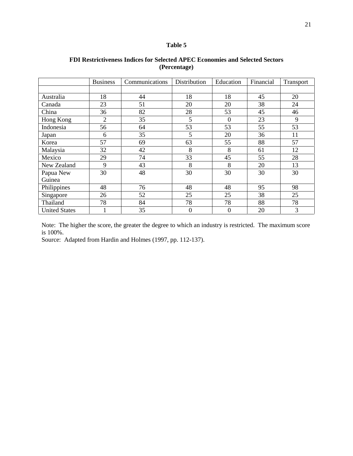|                      | <b>Business</b> | Communications | Distribution     | Education        | Financial | Transport      |
|----------------------|-----------------|----------------|------------------|------------------|-----------|----------------|
|                      |                 |                |                  |                  |           |                |
| Australia            | 18              | 44             | 18               | 18               | 45        | 20             |
| Canada               | 23              | 51             | 20               | 20               | 38        | 24             |
| China                | 36              | 82             | 28               | 53               | 45        | 46             |
| Hong Kong            | $\overline{2}$  | 35             | 5                | $\Omega$         | 23        | 9              |
| Indonesia            | 56              | 64             | 53               | 53               | 55        | 53             |
| Japan                | 6               | 35             | 5                | 20               | 36        | 11             |
| Korea                | 57              | 69             | 63               | 55               | 88        | 57             |
| Malaysia             | 32              | 42             | 8                | 8                | 61        | 12             |
| Mexico               | 29              | 74             | 33               | 45               |           | 28             |
| New Zealand          | 9               | 43             | 8                | 8                | 20        | 13             |
| Papua New            | 30              | 48             | 30               | 30               | 30        | 30             |
| Guinea               |                 |                |                  |                  |           |                |
| Philippines          | 48              | 76             | 48               | 48               | 95        | 98             |
| Singapore            | 26              | 52             | 25               | 25               | 38        | 25             |
| Thailand             | 78              | 84             | 78               | 78               | 88        | 78             |
| <b>United States</b> |                 | 35             | $\boldsymbol{0}$ | $\boldsymbol{0}$ | 20        | $\overline{3}$ |

### **FDI Restrictiveness Indices for Selected APEC Economies and Selected Sectors (Percentage)**

Note: The higher the score, the greater the degree to which an industry is restricted. The maximum score is 100%.

Source: Adapted from Hardin and Holmes (1997, pp. 112-137).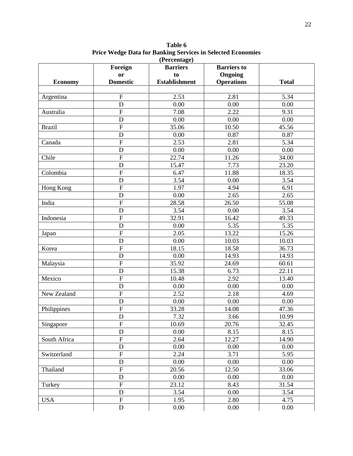| (Percentage)   |                         |                      |                    |              |  |  |  |  |  |
|----------------|-------------------------|----------------------|--------------------|--------------|--|--|--|--|--|
|                | Foreign                 | <b>Barriers</b>      | <b>Barriers</b> to |              |  |  |  |  |  |
|                | <b>or</b>               | to                   | Ongoing            |              |  |  |  |  |  |
| <b>Economy</b> | <b>Domestic</b>         | <b>Establishment</b> | <b>Operations</b>  | <b>Total</b> |  |  |  |  |  |
| Argentina      | $\mathbf F$             | 2.53                 | 2.81               | 5.34         |  |  |  |  |  |
|                | D                       | 0.00                 | 0.00               | 0.00         |  |  |  |  |  |
| Australia      | ${\bf F}$               | 7.08                 | 2.22               | 9.31         |  |  |  |  |  |
|                | $\mathbf D$             | 0.00                 | 0.00               | 0.00         |  |  |  |  |  |
| <b>Brazil</b>  | $\overline{F}$          | 35.06                | 10.50              | 45.56        |  |  |  |  |  |
|                | $\mathbf D$             | 0.00                 | 0.87               | 0.87         |  |  |  |  |  |
|                | $\overline{F}$          |                      |                    | 5.34         |  |  |  |  |  |
| Canada         |                         | 2.53                 | 2.81               |              |  |  |  |  |  |
|                | D                       | 0.00                 | 0.00               | 0.00         |  |  |  |  |  |
| Chile          | ${\bf F}$               | 22.74                | 11.26              | 34.00        |  |  |  |  |  |
|                | D                       | 15.47                | 7.73               | 23.20        |  |  |  |  |  |
| Colombia       | ${\bf F}$               | 6.47                 | 11.88              | 18.35        |  |  |  |  |  |
|                | D                       | 3.54                 | 0.00               | 3.54         |  |  |  |  |  |
| Hong Kong      | ${\bf F}$               | 1.97                 | 4.94               | 6.91         |  |  |  |  |  |
|                | D                       | 0.00                 | 2.65               | 2.65         |  |  |  |  |  |
| India          | $\overline{F}$          | 28.58                | 26.50              | 55.08        |  |  |  |  |  |
|                | D                       | 3.54                 | 0.00               | 3.54         |  |  |  |  |  |
| Indonesia      | $\overline{F}$          | 32.91                | 16.42              | 49.33        |  |  |  |  |  |
|                | D                       | 0.00                 | 5.35               | 5.35         |  |  |  |  |  |
| Japan          | ${\bf F}$               | 2.05                 | 13.22              | 15.26        |  |  |  |  |  |
|                | D                       | 0.00                 | 10.03              | 10.03        |  |  |  |  |  |
| Korea          | ${\bf F}$               | 18.15                | 18.58              | 36.73        |  |  |  |  |  |
|                | D                       | 0.00                 | 14.93              | 14.93        |  |  |  |  |  |
| Malaysia       | $\overline{F}$          | 35.92                | 24.69              | 60.61        |  |  |  |  |  |
|                | D                       | 15.38                | 6.73               | 22.11        |  |  |  |  |  |
| Mexico         | $\overline{\mathrm{F}}$ | 10.48                | 2.92               | 13.40        |  |  |  |  |  |
|                | D                       | 0.00                 | 0.00               | 0.00         |  |  |  |  |  |
| New Zealand    | ${\bf F}$               | 2.52                 | 2.18               | 4.69         |  |  |  |  |  |
|                | D                       | 0.00                 | 0.00               | 0.00         |  |  |  |  |  |
| Philippines    | ${\bf F}$               | 33.28                | 14.08              | 47.36        |  |  |  |  |  |
|                | $\mathbf D$             | 7.32                 | 3.66               | 10.99        |  |  |  |  |  |
| Singapore      | ${\bf F}$               | 10.69                | 20.76              | 32.45        |  |  |  |  |  |
|                | $\mathbf D$             | 0.00                 | 8.15               | 8.15         |  |  |  |  |  |
| South Africa   | $\overline{F}$          | 2.64                 | 12.27              | 14.90        |  |  |  |  |  |
|                | D                       | 0.00                 | 0.00               | 0.00         |  |  |  |  |  |
| Switzerland    | ${\bf F}$               | 2.24                 | 3.71               | 5.95         |  |  |  |  |  |
|                | $\mathbf D$             | 0.00                 | 0.00               | 0.00         |  |  |  |  |  |
| Thailand       | ${\bf F}$               | 20.56                | 12.50              | 33.06        |  |  |  |  |  |
|                | D                       | 0.00                 | 0.00               | 0.00         |  |  |  |  |  |
| Turkey         | ${\bf F}$               | 23.12                | 8.43               | 31.54        |  |  |  |  |  |
|                | D                       | 3.54                 | 0.00               | 3.54         |  |  |  |  |  |
| <b>USA</b>     | ${\bf F}$               | 1.95                 | 2.80               | 4.75         |  |  |  |  |  |
|                | $\mathbf D$             | 0.00                 | 0.00               | 0.00         |  |  |  |  |  |

**Table 6 Price Wedge Data for Banking Services in Selected Economies**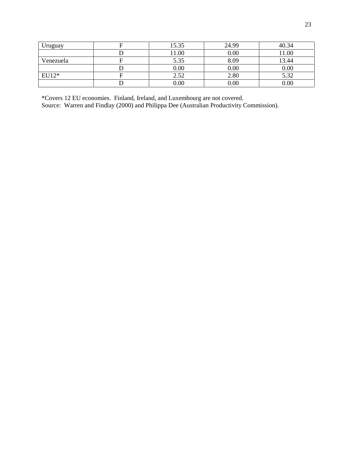| Uruguay   | ┍ | 15.35 | 24.99 | 40.34 |
|-----------|---|-------|-------|-------|
|           |   | 1.00  | 0.00  | 11.00 |
| Venezuela |   | 5.35  | 8.09  | 13.44 |
|           |   | 0.00  | 0.00  | 0.00  |
| $EU12*$   | г | 2.52  | 2.80  | 5.32  |
|           |   | 0.00  | 0.00  | 0.00  |

\*Covers 12 EU economies. Finland, Ireland, and Luxembourg are not covered. Source: Warren and Findlay (2000) and Philippa Dee (Australian Productivity Commission).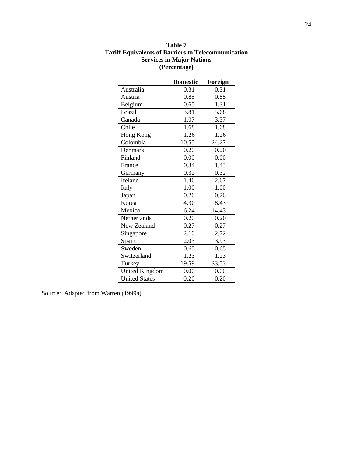|                       | <b>Domestic</b> | Foreign |
|-----------------------|-----------------|---------|
| Australia             | 0.31            | 0.31    |
| Austria               | 0.85            | 0.85    |
| Belgium               | 0.65            | 1.31    |
| <b>Brazil</b>         | 3.81            | 5.68    |
| Canada                | 1.07            | 3.37    |
| Chile                 | 1.68            | 1.68    |
| Hong Kong             | 1.26            | 1.26    |
| Colombia              | 10.55           | 24.27   |
| Denmark               | 0.20            | 0.20    |
| Finland               | 0.00            | 0.00    |
| France                | 0.34            | 1.43    |
| Germany               | 0.32            | 0.32    |
| Ireland               | 1.46            | 2.67    |
| Italy                 | 1.00            | 1.00    |
| Japan                 | 0.26            | 0.26    |
| Korea                 | 4.30            | 8.43    |
| Mexico                | 6.24            | 14.43   |
| Netherlands           | 0.20            | 0.20    |
| New Zealand           | 0.27            | 0.27    |
| Singapore             | 2.10            | 2.72    |
| Spain                 | 2.03            | 3.93    |
| Sweden                | 0.65            | 0.65    |
| Switzerland           | 1.23            | 1.23    |
| Turkey                | 19.59           | 33.53   |
| <b>United Kingdom</b> | 0.00            | 0.00    |
| <b>United States</b>  | 0.20            | 0.20    |

**Table 7 Tariff Equivalents of Barriers to Telecommunication Services in Major Nations (Percentage)** 

Source: Adapted from Warren (1999a).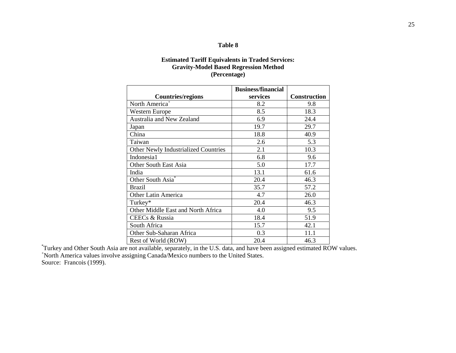# **Estimated Tariff Equivalents in Traded Services: Gravity-Model Based Regression Method (Percentage)**

|                                             | <b>Business/financial</b> |                     |
|---------------------------------------------|---------------------------|---------------------|
| <b>Countries/regions</b>                    | services                  | <b>Construction</b> |
| North America <sup>+</sup>                  | 8.2                       | 9.8                 |
| Western Europe                              | 8.5                       | 18.3                |
| Australia and New Zealand                   | 6.9                       | 24.4                |
| Japan                                       | 19.7                      | 29.7                |
| China                                       | 18.8                      | 40.9                |
| Taiwan                                      | 2.6                       | 5.3                 |
| <b>Other Newly Industrialized Countries</b> | 2.1                       | 10.3                |
| Indonesia1                                  | 6.8                       | 9.6                 |
| Other South East Asia                       | 5.0                       | 17.7                |
| India                                       | 13.1                      | 61.6                |
| Other South Asia                            | 20.4                      | 46.3                |
| <b>Brazil</b>                               | 35.7                      | 57.2                |
| <b>Other Latin America</b>                  | 4.7                       | 26.0                |
| Turkey*                                     | 20.4                      | 46.3                |
| Other Middle East and North Africa          | 4.0                       | 9.5                 |
| <b>CEECs &amp; Russia</b>                   | 18.4                      | 51.9                |
| South Africa                                | 15.7                      | 42.1                |
| Other Sub-Saharan Africa                    | 0.3                       | 11.1                |
| Rest of World (ROW)                         | 20.4                      | 46.3                |

\*Turkey and Other South Asia are not available, separately, in the U.S. data, and have been assigned estimated ROW values. +North America values involve assigning Canada/Mexico numbers to the United States. Source: Francois (1999).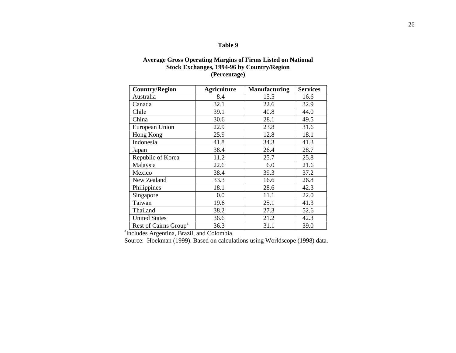# **Average Gross Operating Margins of Firms Listed on National Stock Exchanges, 1994-96 by Country/Region (Percentage)**

| <b>Country/Region</b>             | <b>Agriculture</b> | <b>Manufacturing</b> | <b>Services</b> |
|-----------------------------------|--------------------|----------------------|-----------------|
| Australia                         | 8.4                | 15.5                 | 16.6            |
| Canada                            | 32.1               | 22.6                 | 32.9            |
| Chile                             | 39.1               | 40.8                 | 44.0            |
| China                             | 30.6               | 28.1                 | 49.5            |
| European Union                    | 22.9               | 23.8                 | 31.6            |
| Hong Kong                         | 25.9               | 12.8                 | 18.1            |
| Indonesia                         | 41.8               | 34.3                 | 41.3            |
| Japan                             | 38.4               | 26.4                 | 28.7            |
| Republic of Korea                 | 11.2               | 25.7                 | 25.8            |
| Malaysia                          | 22.6               | 6.0                  | 21.6            |
| Mexico                            | 38.4               | 39.3                 | 37.2            |
| New Zealand                       | 33.3               | 16.6                 | 26.8            |
| Philippines                       | 18.1               | 28.6                 | 42.3            |
| Singapore                         | 0.0                | 11.1                 | 22.0            |
| Taiwan                            | 19.6               | 25.1                 | 41.3            |
| Thailand                          | 38.2               | 27.3                 | 52.6            |
| <b>United States</b>              | 36.6               | 21.2                 | 42.3            |
| Rest of Cairns Group <sup>a</sup> | 36.3               | 31.1                 | 39.0            |

<sup>a</sup>Includes Argentina, Brazil, and Colombia.

Source: Hoekman (1999). Based on calculations using Worldscope (1998) data.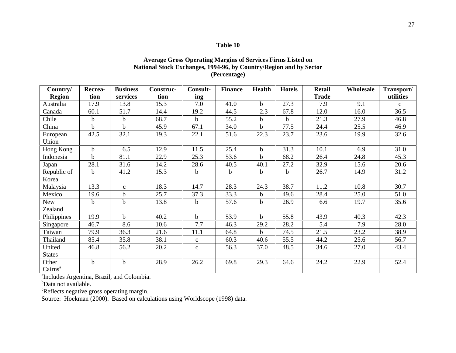# **Average Gross Operating Margins of Services Firms Listed on National Stock Exchanges, 1994-96, by Country/Region and by Sector (Percentage)**

| Country/            | Recrea-     | <b>Business</b> | Construc- | Consult-     | <b>Finance</b> | <b>Health</b> | <b>Hotels</b> | <b>Retail</b> | Wholesale | Transport/   |
|---------------------|-------------|-----------------|-----------|--------------|----------------|---------------|---------------|---------------|-----------|--------------|
| <b>Region</b>       | tion        | services        | tion      | ing          |                |               |               | <b>Trade</b>  |           | utilities    |
| Australia           | 17.9        | 13.8            | 15.3      | 7.0          | 41.0           | $\mathbf b$   | 27.3          | 7.9           | 9.1       | $\mathbf{C}$ |
| Canada              | 60.1        | 51.7            | 14.4      | 19.2         | 44.5           | 2.3           | 67.8          | 12.0          | 16.0      | 36.5         |
| Chile               | $\mathbf b$ | $\mathbf b$     | 68.7      | $\mathbf b$  | 55.2           | $\mathbf b$   | b.            | 21.3          | 27.9      | 46.8         |
| China               | $\mathbf b$ | $\mathbf b$     | 45.9      | 67.1         | 34.0           | $\mathbf b$   | 77.5          | 24.4          | 25.5      | 46.9         |
| European            | 42.5        | 32.1            | 19.3      | 22.1         | 51.6           | 22.3          | 23.7          | 23.6          | 19.9      | 32.6         |
| Union               |             |                 |           |              |                |               |               |               |           |              |
| Hong Kong           | $\mathbf b$ | 6.5             | 12.9      | 11.5         | 25.4           | $\mathbf b$   | 31.3          | 10.1          | 6.9       | 31.0         |
| Indonesia           | $\mathbf b$ | 81.1            | 22.9      | 25.3         | 53.6           | h             | 68.2          | 26.4          | 24.8      | 45.3         |
| Japan               | 28.1        | 31.6            | 14.2      | 28.6         | 40.5           | 40.1          | 27.2          | 32.9          | 15.6      | 20.6         |
| Republic of         | $\mathbf b$ | 41.2            | 15.3      | b            | b              | b             | b.            | 26.7          | 14.9      | 31.2         |
| Korea               |             |                 |           |              |                |               |               |               |           |              |
| Malaysia            | 13.3        | $\mathbf{c}$    | 18.3      | 14.7         | 28.3           | 24.3          | 38.7          | 11.2          | 10.8      | 30.7         |
| Mexico              | 19.6        | b               | 25.7      | 37.3         | 33.3           | b             | 49.6          | 28.4          | 25.0      | 51.0         |
| <b>New</b>          | $\mathbf b$ | $\mathbf b$     | 13.8      | b            | 57.6           | <sub>b</sub>  | 26.9          | 6.6           | 19.7      | 35.6         |
| Zealand             |             |                 |           |              |                |               |               |               |           |              |
| Philippines         | 19.9        | $\mathbf b$     | 40.2      | $\mathbf b$  | 53.9           | $\mathbf b$   | 55.8          | 43.9          | 40.3      | 42.3         |
| Singapore           | 46.7        | 8.6             | 10.6      | 7.7          | 46.3           | 29.2          | 28.2          | 5.4           | 7.9       | 28.0         |
| Taiwan              | 79.9        | 36.3            | 21.6      | 11.1         | 64.8           | <sub>b</sub>  | 74.5          | 21.5          | 23.2      | 38.9         |
| Thailand            | 85.4        | 35.8            | 38.1      | $\mathbf{C}$ | 60.3           | 40.6          | 55.5          | 44.2          | 25.6      | 56.7         |
| United              | 46.8        | 56.2            | 20.2      | $\mathbf{C}$ | 56.3           | 37.0          | 48.5          | 34.6          | 27.0      | 43.4         |
| <b>States</b>       |             |                 |           |              |                |               |               |               |           |              |
| Other               | $\mathbf b$ | $\mathbf b$     | 28.9      | 26.2         | 69.8           | 29.3          | 64.6          | 24.2          | 22.9      | 52.4         |
| Cairns <sup>a</sup> |             |                 |           |              |                |               |               |               |           |              |

<sup>a</sup>Includes Argentina, Brazil, and Colombia.

<sup>b</sup>Data not available.

<sup>c</sup>Reflects negative gross operating margin.

Source: Hoekman (2000). Based on calculations using Worldscope (1998) data.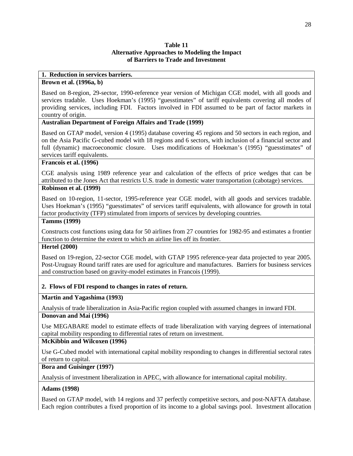### **Table 11 Alternative Approaches to Modeling the Impact of Barriers to Trade and Investment**

# **1. Reduction in services barriers.**

# **Brown et al. (1996a, b)**

Based on 8-region, 29-sector, 1990-reference year version of Michigan CGE model, with all goods and services tradable. Uses Hoekman's (1995) "guesstimates" of tariff equivalents covering all modes of providing services, including FDI. Factors involved in FDI assumed to be part of factor markets in country of origin.

# **Australian Department of Foreign Affairs and Trade (1999)**

Based on GTAP model, version 4 (1995) database covering 45 regions and 50 sectors in each region, and on the Asia Pacific G-cubed model with 18 regions and 6 sectors, with inclusion of a financial sector and full (dynamic) macroeconomic closure. Uses modifications of Hoekman's (1995) "guesstimates" of services tariff equivalents.

## **Francois et al. (1996)**

CGE analysis using 1989 reference year and calculation of the effects of price wedges that can be attributed to the Jones Act that restricts U.S. trade in domestic water transportation (cabotage) services.

# **Robinson et al. (1999)**

Based on 10-region, 11-sector, 1995-reference year CGE model, with all goods and services tradable. Uses Hoekman's (1995) "guesstimates" of services tariff equivalents, with allowance for growth in total factor productivity (TFP) stimulated from imports of services by developing countries.

### **Tamms (1999)**

Constructs cost functions using data for 50 airlines from 27 countries for 1982-95 and estimates a frontier function to determine the extent to which an airline lies off its frontier.

## **Hertel (2000)**

Based on 19-region, 22-sector CGE model, with GTAP 1995 reference-year data projected to year 2005. Post-Uruguay Round tariff rates are used for agriculture and manufactures. Barriers for business services and construction based on gravity-model estimates in Francois (1999).

## **2. Flows of FDI respond to changes in rates of return.**

# **Martin and Yagashima (1993)**

Analysis of trade liberalization in Asia-Pacific region coupled with assumed changes in inward FDI. **Donovan and Mai (1996)**

Use MEGABARE model to estimate effects of trade liberalization with varying degrees of international capital mobility responding to differential rates of return on investment.

# **McKibbin and Wilcoxen (1996)**

Use G-Cubed model with international capital mobility responding to changes in differential sectoral rates of return to capital.

# **Bora and Guisinger (1997)**

Analysis of investment liberalization in APEC, with allowance for international capital mobility.

## **Adams (1998)**

Based on GTAP model, with 14 regions and 37 perfectly competitive sectors, and post-NAFTA database. Each region contributes a fixed proportion of its income to a global savings pool. Investment allocation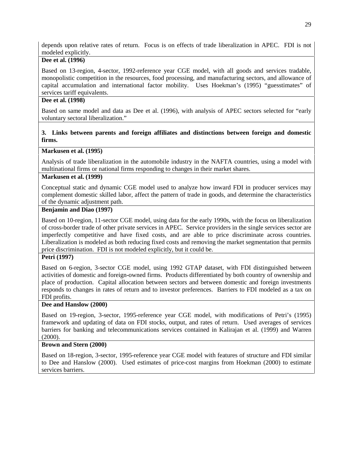depends upon relative rates of return. Focus is on effects of trade liberalization in APEC. FDI is not modeled explicitly.

# **Dee et al. (1996)**

Based on 13-region, 4-sector, 1992-reference year CGE model, with all goods and services tradable, monopolistic competition in the resources, food processing, and manufacturing sectors, and allowance of capital accumulation and international factor mobility. Uses Hoekman's (1995) "guesstimates" of services tariff equivalents.

# **Dee et al. (1998)**

Based on same model and data as Dee et al. (1996), with analysis of APEC sectors selected for "early voluntary sectoral liberalization."

# **3. Links between parents and foreign affiliates and distinctions between foreign and domestic firms.**

# **Markusen et al. (1995)**

Analysis of trade liberalization in the automobile industry in the NAFTA countries, using a model with multinational firms or national firms responding to changes in their market shares.

# **Markusen et al. (1999)**

Conceptual static and dynamic CGE model used to analyze how inward FDI in producer services may complement domestic skilled labor, affect the pattern of trade in goods, and determine the characteristics of the dynamic adjustment path.

# **Benjamin and Diao (1997)**

Based on 10-region, 11-sector CGE model, using data for the early 1990s, with the focus on liberalization of cross-border trade of other private services in APEC. Service providers in the single services sector are imperfectly competitive and have fixed costs, and are able to price discriminate across countries. Liberalization is modeled as both reducing fixed costs and removing the market segmentation that permits price discrimination. FDI is not modeled explicitly, but it could be.

# **Petri (1997)**

Based on 6-region, 3-sector CGE model, using 1992 GTAP dataset, with FDI distinguished between activities of domestic and foreign-owned firms. Products differentiated by both country of ownership and place of production. Capital allocation between sectors and between domestic and foreign investments responds to changes in rates of return and to investor preferences. Barriers to FDI modeled as a tax on FDI profits.

## **Dee and Hanslow (2000)**

Based on 19-region, 3-sector, 1995-reference year CGE model, with modifications of Petri's (1995) framework and updating of data on FDI stocks, output, and rates of return. Used averages of services barriers for banking and telecommunications services contained in Kalirajan et al. (1999) and Warren (2000).

# **Brown and Stern (2000)**

Based on 18-region, 3-sector, 1995-reference year CGE model with features of structure and FDI similar to Dee and Hanslow (2000). Used estimates of price-cost margins from Hoekman (2000) to estimate services barriers.